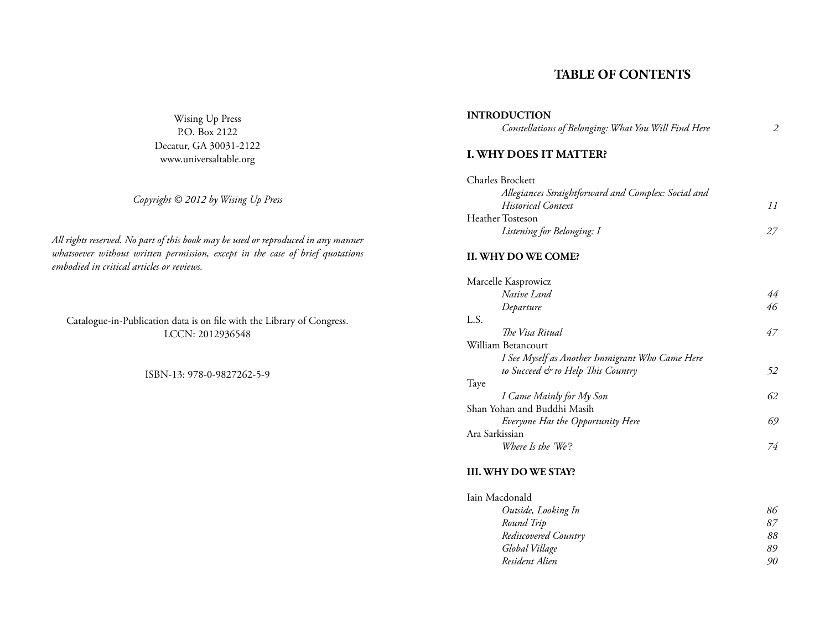# **TABLE OF CONTENTS**

Wising Up Press P.O. Box 2122 Decatur, GA 30031-2122 www.universaltable.org

*Copyright © 2012 by Wising Up Press*

*All rights reserved. No part of this book may be used or reproduced in any manner whatsoever without written permission, except in the case of brief quotations embodied in critical articles or reviews.*

Catalogue-in-Publication data is on file with the Library of Congress. LCCN: 2012936548

ISBN-13: 978-0-9827262-5-9

#### **INTRODUCTION**

*Constellations of Belonging: What You Will Find Here 2*

## **I. WHY DOES IT MATTER?**

| <b>Charles Brockett</b>                             |  |
|-----------------------------------------------------|--|
| Allegiances Straightforward and Complex: Social and |  |
| <b>Historical Context</b>                           |  |
| Heather Tosteson                                    |  |
| Listening for Belonging: I                          |  |

#### **II. WHY DO WE COME?**

| Marcelle Kasprowicz                             |    |
|-------------------------------------------------|----|
| Native Land                                     | 44 |
| Departure                                       | 46 |
| L.S.                                            |    |
| The Visa Ritual                                 | 47 |
| William Betancourt                              |    |
| I See Myself as Another Immigrant Who Came Here |    |
| to Succeed & to Help This Country               | 52 |
| Taye                                            |    |
| I Came Mainly for My Son                        | 62 |
| Shan Yohan and Buddhi Masih                     |    |
| Everyone Has the Opportunity Here               | 69 |
| Ara Sarkissian                                  |    |
| Where Is the 'We'?                              | 74 |

#### **III. WHY DO WE STAY?**

| Iain Macdonald       |    |
|----------------------|----|
| Outside, Looking In  | 86 |
| Round Trip           | 87 |
| Rediscovered Country | 88 |
| Global Village       | 89 |
| Resident Alien       | 90 |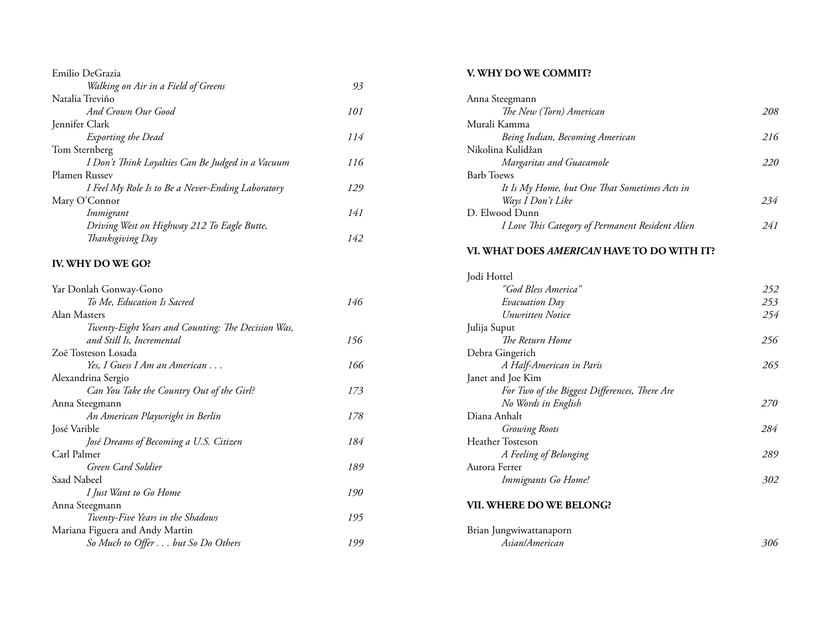| Emilio DeGrazia                                   |     |
|---------------------------------------------------|-----|
| Walking on Air in a Field of Greens               | 93  |
| Natalia Treviño                                   |     |
| And Crown Our Good                                | 101 |
| Jennifer Clark                                    |     |
| Exporting the Dead                                | 114 |
| Tom Sternberg                                     |     |
| I Don't Think Loyalties Can Be Judged in a Vacuum | 116 |
| Plamen Russev                                     |     |
| I Feel My Role Is to Be a Never-Ending Laboratory | 129 |
| Mary O'Connor                                     |     |
| Immigrant                                         | 141 |
| Driving West on Highway 212 To Eagle Butte,       |     |
| Thanksgiving Day                                  | 142 |
|                                                   |     |

# **IV. WHY DO WE GO?**

| Yar Donlah Gonway-Gono                             |     |
|----------------------------------------------------|-----|
| To Me, Education Is Sacred                         | 146 |
| Alan Masters                                       |     |
| Twenty-Eight Years and Counting: The Decision Was, |     |
| and Still Is, Incremental                          | 156 |
| Zoë Tosteson Losada                                |     |
| Yes, I Guess I Am an American                      | 166 |
| Alexandrina Sergio                                 |     |
| Can You Take the Country Out of the Girl?          | 173 |
| Anna Steegmann                                     |     |
| An American Playwright in Berlin                   | 178 |
| José Varible                                       |     |
| José Dreams of Becoming a U.S. Citizen             | 184 |
| Carl Palmer                                        |     |
| Green Card Soldier                                 | 189 |
| Saad Nabeel                                        |     |
| I Just Want to Go Home                             | 190 |
| Anna Steegmann                                     |     |
| Twenty-Five Years in the Shadows                   | 195 |
| Mariana Figuera and Andy Martin                    |     |
| So Much to Offer but So Do Others                  | 199 |

### **V. WHY DO WE COMMIT?**

| Anna Steegmann                                   |     |
|--------------------------------------------------|-----|
| The New (Torn) American                          | 208 |
| Murali Kamma                                     |     |
| Being Indian, Becoming American                  | 216 |
| Nikolina Kulidžan                                |     |
| Margaritas and Guacamole                         | 220 |
| <b>Barb</b> Toews                                |     |
| It Is My Home, but One That Sometimes Acts in    |     |
| Ways I Don't Like                                | 234 |
| D. Elwood Dunn                                   |     |
| I Love This Category of Permanent Resident Alien | 241 |
|                                                  |     |

### **VI. WHAT DOES** *AMERICAN* **HAVE TO DO WITH IT?**

| Jodi Hottel                                   |            |
|-----------------------------------------------|------------|
| "God Bless America"                           | 252        |
| Evacuation Day                                | 253        |
| <b><i>Unwritten Notice</i></b>                | 254        |
| Julija Suput                                  |            |
| The Return Home                               | 256        |
| Debra Gingerich                               |            |
| A Half-American in Paris                      | 265        |
| Janet and Joe Kim                             |            |
| For Two of the Biggest Differences, There Are |            |
| No Words in English                           | <i>270</i> |
| Diana Anhalt                                  |            |
| <b>Growing Roots</b>                          | 284        |
| <b>Heather Tosteson</b>                       |            |
| A Feeling of Belonging                        | 289        |
| Aurora Ferrer                                 |            |
| Immigrants Go Home!                           | 302        |
|                                               |            |

#### **VII. WHERE DO WE BELONG?**

| Brian Jungwiwattanaporn |     |
|-------------------------|-----|
| Asian/American          | 306 |